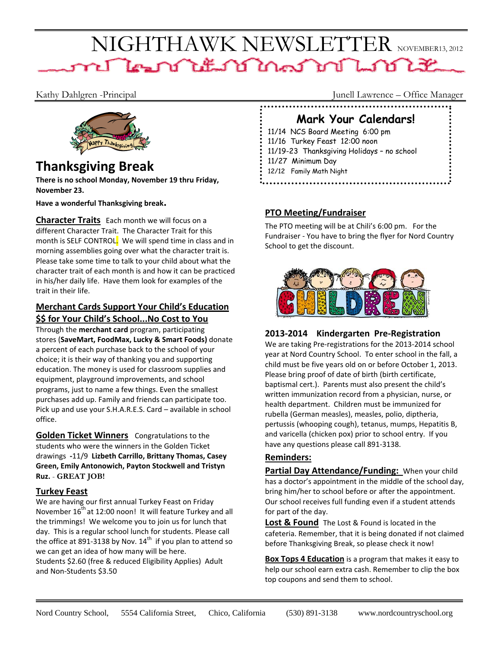# NIGHTHAWK NEWSLETTER NOVEMBER13, 2012 n Than titul Mar mi Linn Lit



## **Thanksgiving Break**  $\frac{11}{2}$   $\frac{11}{27}$  Minimum Day  $\frac{1}{2}$   $\frac{12}{12}$  Family Math Night

**There is no school Monday, November 19 thru Friday, November 23.** 

**Have a wonderful Thanksgiving break.**

**Character Traits** Each month we will focus on a different Character Trait. The Character Trait for this month is SELF CONTROL. We will spend time in class and in morning assemblies going over what the character trait is. Please take some time to talk to your child about what the character trait of each month is and how it can be practiced in his/her daily life. Have them look for examples of the trait in their life.

#### **Merchant Cards Support Your Child's Education \$\$ for Your Child's School...No Cost to You**

Through the **merchant card** program, participating stores (**SaveMart, FoodMax, Lucky & Smart Foods)** donate a percent of each purchase back to the school of your choice; it is their way of thanking you and supporting education. The money is used for classroom supplies and equipment, playground improvements, and school programs, just to name a few things. Even the smallest purchases add up. Family and friends can participate too. Pick up and use your S.H.A.R.E.S. Card – available in school office.

**Golden Ticket Winners** Congratulations to the students who were the winners in the Golden Ticket drawings **‐**11/9 **Lizbeth Carrillo, Brittany Thomas, Casey Green, Emily Antonowich, Payton Stockwell and Tristyn Ruz.** - **GREAT JOB!**

## **Turkey Feast**

We are having our first annual Turkey Feast on Friday November  $16<sup>th</sup>$  at 12:00 noon! It will feature Turkey and all the trimmings! We welcome you to join us for lunch that day. This is a regular school lunch for students. Please call the office at 891-3138 by Nov.  $14^{th}$  if you plan to attend so we can get an idea of how many will be here. Students \$2.60 (free & reduced Eligibility Applies) Adult and Non‐Students \$3.50

Kathy Dahlgren -Principal Junell Lawrence – Office Manager

## **Mark Your Calendars!**

11/14 NCS Board Meeting 6:00 pm 11/16 Turkey Feast 12:00 noon 11/19-23 Thanksgiving Holidays – no school

## **PTO Meeting/Fundraiser**

The PTO meeting will be at Chili's 6:00 pm. For the Fundraiser ‐ You have to bring the flyer for Nord Country School to get the discount.



## **2013‐2014 Kindergarten Pre‐Registration**

We are taking Pre‐registrations for the 2013‐2014 school year at Nord Country School. To enter school in the fall, a child must be five years old on or before October 1, 2013. Please bring proof of date of birth (birth certificate, baptismal cert.). Parents must also present the child's written immunization record from a physician, nurse, or health department. Children must be immunized for rubella (German measles), measles, polio, diptheria, pertussis (whooping cough), tetanus, mumps, Hepatitis B, and varicella (chicken pox) prior to school entry. If you have any questions please call 891-3138.

## **Reminders:**

**Partial Day Attendance/Funding:** When your child has a doctor's appointment in the middle of the school day, bring him/her to school before or after the appointment. Our school receives full funding even if a student attends for part of the day.

**Lost & Found** The Lost & Found is located in the cafeteria. Remember, that it is being donated if not claimed before Thanksgiving Break, so please check it now!

**Box Tops 4 Education** is a program that makes it easy to help our school earn extra cash. Remember to clip the box top coupons and send them to school.